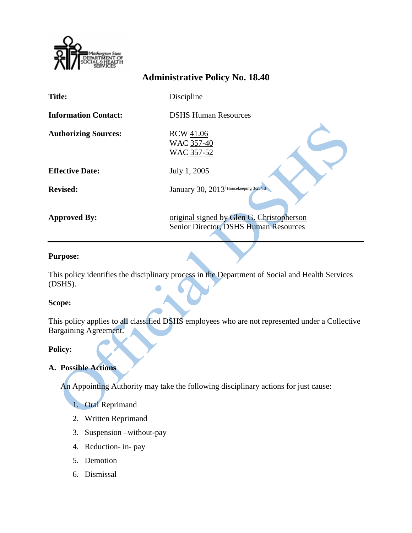

# **Administrative Policy No. 18.40**

| <b>Title:</b>               | Discipline                                                                         |
|-----------------------------|------------------------------------------------------------------------------------|
| <b>Information Contact:</b> | <b>DSHS Human Resources</b>                                                        |
| <b>Authorizing Sources:</b> | <b>RCW 41.06</b><br>WAC 357-40<br>WAC 357-52                                       |
| <b>Effective Date:</b>      | July 1, 2005                                                                       |
| <b>Revised:</b>             | January 30, 2013 <sup>i</sup> Housekeeping 3/25/13                                 |
| <b>Approved By:</b>         | original signed by Glen G. Christopherson<br>Senior Director, DSHS Human Resources |

## **Purpose:**

This policy identifies the disciplinary process in the Department of Social and Health Services (DSHS).

### **Scope:**

This policy applies to all classified DSHS employees who are not represented under a Collective Bargaining Agreement.

### **Policy:**

# **A. Possible Actions**

An Appointing Authority may take the following disciplinary actions for just cause:

1. Oral Reprimand

- 2. Written Reprimand
- 3. Suspension –without-pay
- 4. Reduction- in- pay
- 5. Demotion
- 6. Dismissal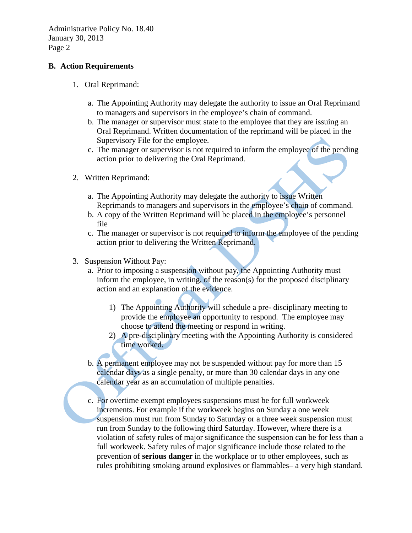### **B. Action Requirements**

- 1. Oral Reprimand:
	- a. The Appointing Authority may delegate the authority to issue an Oral Reprimand to managers and supervisors in the employee's chain of command.
	- b. The manager or supervisor must state to the employee that they are issuing an Oral Reprimand. Written documentation of the reprimand will be placed in the Supervisory File for the employee.
	- c. The manager or supervisor is not required to inform the employee of the pending action prior to delivering the Oral Reprimand.
- 2. Written Reprimand:
	- a. The Appointing Authority may delegate the authority to issue Written Reprimands to managers and supervisors in the employee's chain of command.
	- b. A copy of the Written Reprimand will be placed in the employee's personnel file
	- c. The manager or supervisor is not required to inform the employee of the pending action prior to delivering the Written Reprimand.
- 3. Suspension Without Pay:
	- a. Prior to imposing a suspension without pay, the Appointing Authority must inform the employee, in writing, of the reason(s) for the proposed disciplinary action and an explanation of the evidence.
		- 1) The Appointing Authority will schedule a pre- disciplinary meeting to provide the employee an opportunity to respond. The employee may choose to attend the meeting or respond in writing.
		- 2) A pre-disciplinary meeting with the Appointing Authority is considered time worked.
	- b. A permanent employee may not be suspended without pay for more than 15 calendar days as a single penalty, or more than 30 calendar days in any one calendar year as an accumulation of multiple penalties.
	- c. For overtime exempt employees suspensions must be for full workweek increments. For example if the workweek begins on Sunday a one week suspension must run from Sunday to Saturday or a three week suspension must run from Sunday to the following third Saturday. However, where there is a violation of safety rules of major significance the suspension can be for less than a full workweek. Safety rules of major significance include those related to the prevention of **serious danger** in the workplace or to other employees, such as rules prohibiting smoking around explosives or flammables– a very high standard.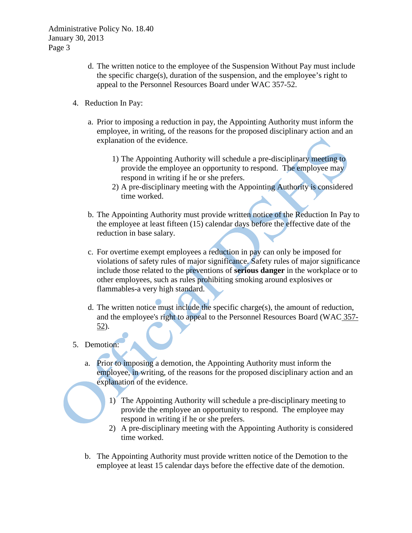- d. The written notice to the employee of the Suspension Without Pay must include the specific charge(s), duration of the suspension, and the employee's right to appeal to the Personnel Resources Board under WAC 357-52.
- 4. Reduction In Pay:
	- a. Prior to imposing a reduction in pay, the Appointing Authority must inform the employee, in writing, of the reasons for the proposed disciplinary action and an explanation of the evidence.
		- 1) The Appointing Authority will schedule a pre-disciplinary meeting to provide the employee an opportunity to respond. The employee may respond in writing if he or she prefers.
		- 2) A pre-disciplinary meeting with the Appointing Authority is considered time worked.
	- b. The Appointing Authority must provide written notice of the Reduction In Pay to the employee at least fifteen (15) calendar days before the effective date of the reduction in base salary.
	- c. For overtime exempt employees a reduction in pay can only be imposed for violations of safety rules of major significance. Safety rules of major significance include those related to the preventions of **serious danger** in the workplace or to other employees, such as rules prohibiting smoking around explosives or flammables-a very high standard.
	- d. The written notice must include the specific charge(s), the amount of reduction, and the employee's right to appeal to the Personnel Resources Board (WAC [357-](http://apps.leg.wa.gov/WAC/default.aspx?cite=357-52) [52\)](http://apps.leg.wa.gov/WAC/default.aspx?cite=357-52).
- 5. Demotion:
	- a. Prior to imposing a demotion, the Appointing Authority must inform the employee, in writing, of the reasons for the proposed disciplinary action and an explanation of the evidence.
		- 1) The Appointing Authority will schedule a pre-disciplinary meeting to provide the employee an opportunity to respond. The employee may respond in writing if he or she prefers.
		- 2) A pre-disciplinary meeting with the Appointing Authority is considered time worked.
	- b. The Appointing Authority must provide written notice of the Demotion to the employee at least 15 calendar days before the effective date of the demotion.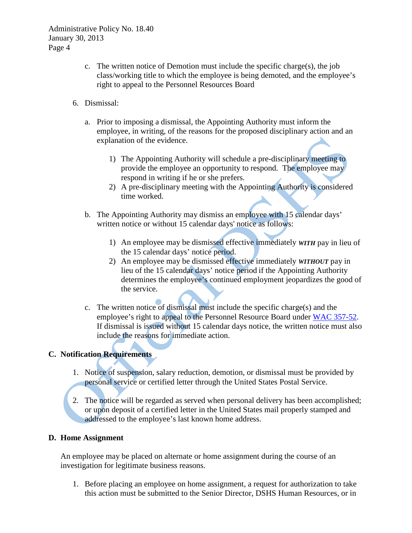- c. The written notice of Demotion must include the specific charge(s), the job class/working title to which the employee is being demoted, and the employee's right to appeal to the Personnel Resources Board
- 6. Dismissal:
	- a. Prior to imposing a dismissal, the Appointing Authority must inform the employee, in writing, of the reasons for the proposed disciplinary action and an explanation of the evidence.
		- 1) The Appointing Authority will schedule a pre-disciplinary meeting to provide the employee an opportunity to respond. The employee may respond in writing if he or she prefers.
		- 2) A pre-disciplinary meeting with the Appointing Authority is considered time worked.
	- b. The Appointing Authority may dismiss an employee with 15 calendar days' written notice or without 15 calendar days' notice as follows:
		- 1) An employee may be dismissed effective immediately *WITH* pay in lieu of the 15 calendar days' notice period.
		- 2) An employee may be dismissed effective immediately *WITHOUT* pay in lieu of the 15 calendar days' notice period if the Appointing Authority determines the employee's continued employment jeopardizes the good of the service.
	- c. The written notice of dismissal must include the specific charge(s) and the employee's right to appeal to the Personnel Resource Board under [WAC 357-52.](http://apps.leg.wa.gov/WAC/default.aspx?cite=357-52) If dismissal is issued without 15 calendar days notice, the written notice must also include the reasons for immediate action.

## **C. Notification Requirements**

- 1. Notice of suspension, salary reduction, demotion, or dismissal must be provided by personal service or certified letter through the United States Postal Service.
- 2. The notice will be regarded as served when personal delivery has been accomplished; or upon deposit of a certified letter in the United States mail properly stamped and addressed to the employee's last known home address.

### **D. Home Assignment**

An employee may be placed on alternate or home assignment during the course of an investigation for legitimate business reasons.

1. Before placing an employee on home assignment, a request for authorization to take this action must be submitted to the Senior Director, DSHS Human Resources, or in